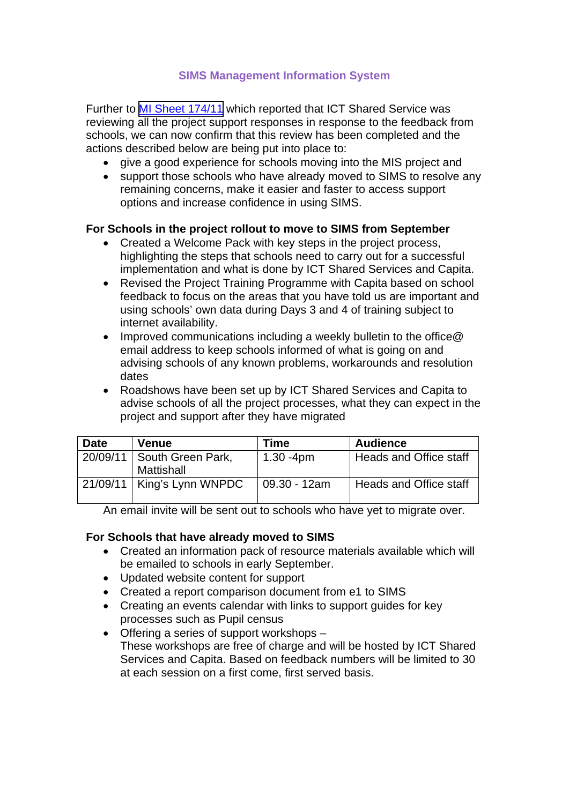## **SIMS Management Information System**

Further to [MI Sheet 174/11](https://csapps.norfolk.gov.uk/csshared/ecourier2/misheet.asp?misheetid=17638) which reported that ICT Shared Service was reviewing all the project support responses in response to the feedback from schools, we can now confirm that this review has been completed and the actions described below are being put into place to:

- give a good experience for schools moving into the MIS project and
- support those schools who have already moved to SIMS to resolve any remaining concerns, make it easier and faster to access support options and increase confidence in using SIMS.

### **For Schools in the project rollout to move to SIMS from September**

- Created a Welcome Pack with key steps in the project process, highlighting the steps that schools need to carry out for a successful implementation and what is done by ICT Shared Services and Capita.
- Revised the Project Training Programme with Capita based on school feedback to focus on the areas that you have told us are important and using schools' own data during Days 3 and 4 of training subject to internet availability.
- Improved communications including a weekly bulletin to the office@ email address to keep schools informed of what is going on and advising schools of any known problems, workarounds and resolution dates
- Roadshows have been set up by ICT Shared Services and Capita to advise schools of all the project processes, what they can expect in the project and support after they have migrated

| <b>Date</b> | Venue                           | Time         | <b>Audience</b>        |
|-------------|---------------------------------|--------------|------------------------|
| 20/09/11    | South Green Park,<br>Mattishall | $1.30 - 4pm$ | Heads and Office staff |
|             | $21/09/11$   King's Lynn WNPDC  | 09.30 - 12am | Heads and Office staff |

An email invite will be sent out to schools who have yet to migrate over.

### **For Schools that have already moved to SIMS**

- Created an information pack of resource materials available which will be emailed to schools in early September.
- Updated website content for support
- Created a report comparison document from e1 to SIMS
- Creating an events calendar with links to support guides for key processes such as Pupil census
- Offering a series of support workshops These workshops are free of charge and will be hosted by ICT Shared Services and Capita. Based on feedback numbers will be limited to 30 at each session on a first come, first served basis.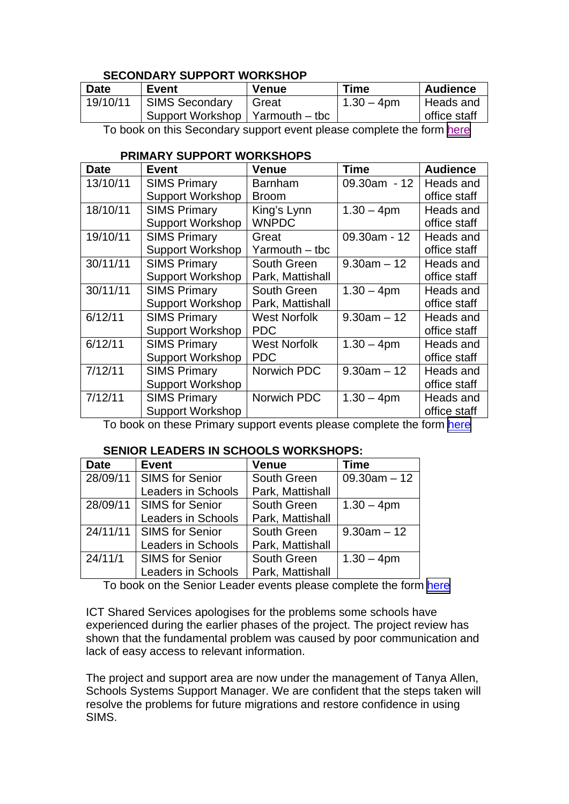## **SECONDARY SUPPORT WORKSHOP**

| <b>Date</b> | Event                             | <b>Venue</b> | <b>Time</b>   | <b>Audience</b> |
|-------------|-----------------------------------|--------------|---------------|-----------------|
| 19/10/11    | SIMS Secondary                    | I Great      | $1.30 - 4$ pm | Heads and       |
|             | Support Workshop   Yarmouth – tbc |              |               | office staff    |
|             |                                   |              |               |                 |

To book on this Secondary support event please complete the form [here](https://www.google.com/a/nsix.org.uk/ServiceLogin?service=wise&passive=1209600&continue=https://docs.google.com/a/nsix.org.uk/spreadsheet/viewform?hl%3Den_US%26formkey%3DdHpCVmh0bjJhb29IRVFzeW5sUjF5S0E6MA%26ndplr%3D1&followup=https://docs.google.com/a/nsix.org.uk/spreadsheet/viewform?hl%3Den_US%26formkey%3DdHpCVmh0bjJhb29IRVFzeW5sUjF5S0E6MA%26ndplr%3D1&hl=en_US#gid=0)

### **PRIMARY SUPPORT WORKSHOPS**

| <b>Date</b> | Event                   | <b>Venue</b>        | Time           | <b>Audience</b> |
|-------------|-------------------------|---------------------|----------------|-----------------|
| 13/10/11    | <b>SIMS Primary</b>     | <b>Barnham</b>      | $09.30am - 12$ | Heads and       |
|             | <b>Support Workshop</b> | <b>Broom</b>        |                | office staff    |
| 18/10/11    | <b>SIMS Primary</b>     | King's Lynn         | $1.30 - 4pm$   | Heads and       |
|             | <b>Support Workshop</b> | <b>WNPDC</b>        |                | office staff    |
| 19/10/11    | <b>SIMS Primary</b>     | Great               | 09.30am - 12   | Heads and       |
|             | <b>Support Workshop</b> | Yarmouth – tbc      |                | office staff    |
| 30/11/11    | <b>SIMS Primary</b>     | South Green         | $9.30am - 12$  | Heads and       |
|             | <b>Support Workshop</b> | Park, Mattishall    |                | office staff    |
| 30/11/11    | <b>SIMS Primary</b>     | South Green         | $1.30 - 4pm$   | Heads and       |
|             | <b>Support Workshop</b> | Park, Mattishall    |                | office staff    |
| 6/12/11     | <b>SIMS Primary</b>     | <b>West Norfolk</b> | $9.30am - 12$  | Heads and       |
|             | <b>Support Workshop</b> | <b>PDC</b>          |                | office staff    |
| 6/12/11     | <b>SIMS Primary</b>     | <b>West Norfolk</b> | $1.30 - 4pm$   | Heads and       |
|             | <b>Support Workshop</b> | <b>PDC</b>          |                | office staff    |
| 7/12/11     | <b>SIMS Primary</b>     | Norwich PDC         | $9.30am - 12$  | Heads and       |
|             | <b>Support Workshop</b> |                     |                | office staff    |
| 7/12/11     | <b>SIMS Primary</b>     | Norwich PDC         | $1.30 - 4pm$   | Heads and       |
|             | <b>Support Workshop</b> |                     |                | office staff    |

To book on these Primary support events please complete the form [here](https://www.google.com/a/nsix.org.uk/ServiceLogin?service=wise&passive=1209600&continue=https://docs.google.com/a/nsix.org.uk/spreadsheet/viewform?hl%3Den_US%26formkey%3DdFFPenh3dEd0TXR6Z0pMT2NoNktRS0E6MQ%26ndplr%3D1&followup=https://docs.google.com/a/nsix.org.uk/spreadsheet/viewform?hl%3Den_US%26formkey%3DdFFPenh3dEd0TXR6Z0pMT2NoNktRS0E6MQ%26ndplr%3D1&hl=en_US#gid=0)

# **SENIOR LEADERS IN SCHOOLS WORKSHOPS:**

| <b>Date</b> | <b>Event</b>               | <b>Venue</b>     | <b>Time</b>    |
|-------------|----------------------------|------------------|----------------|
|             | 28/09/11   SIMS for Senior | South Green      | $09.30am - 12$ |
|             | <b>Leaders in Schools</b>  | Park, Mattishall |                |
|             | 28/09/11   SIMS for Senior | South Green      | $1.30 - 4pm$   |
|             | <b>Leaders in Schools</b>  | Park, Mattishall |                |
|             | 24/11/11   SIMS for Senior | South Green      | $9.30am - 12$  |
|             | <b>Leaders in Schools</b>  | Park, Mattishall |                |
| 24/11/1     | <b>SIMS for Senior</b>     | South Green      | $1.30 - 4pm$   |
|             | <b>Leaders in Schools</b>  | Park, Mattishall |                |

To book on the Senior Leader events please complete the form [here](https://www.google.com/a/nsix.org.uk/ServiceLogin?service=wise&passive=1209600&continue=https://docs.google.com/a/nsix.org.uk/spreadsheet/viewform?hl%3Den_US%26formkey%3DdEp6d2dOZllWeUt2ci1RLV9vWnN1Q1E6MA%26ndplr%3D1&followup=https://docs.google.com/a/nsix.org.uk/spreadsheet/viewform?hl%3Den_US%26formkey%3DdEp6d2dOZllWeUt2ci1RLV9vWnN1Q1E6MA%26ndplr%3D1&hl=en_US#gid=0)

ICT Shared Services apologises for the problems some schools have experienced during the earlier phases of the project. The project review has shown that the fundamental problem was caused by poor communication and lack of easy access to relevant information.

The project and support area are now under the management of Tanya Allen, Schools Systems Support Manager. We are confident that the steps taken will resolve the problems for future migrations and restore confidence in using SIMS.